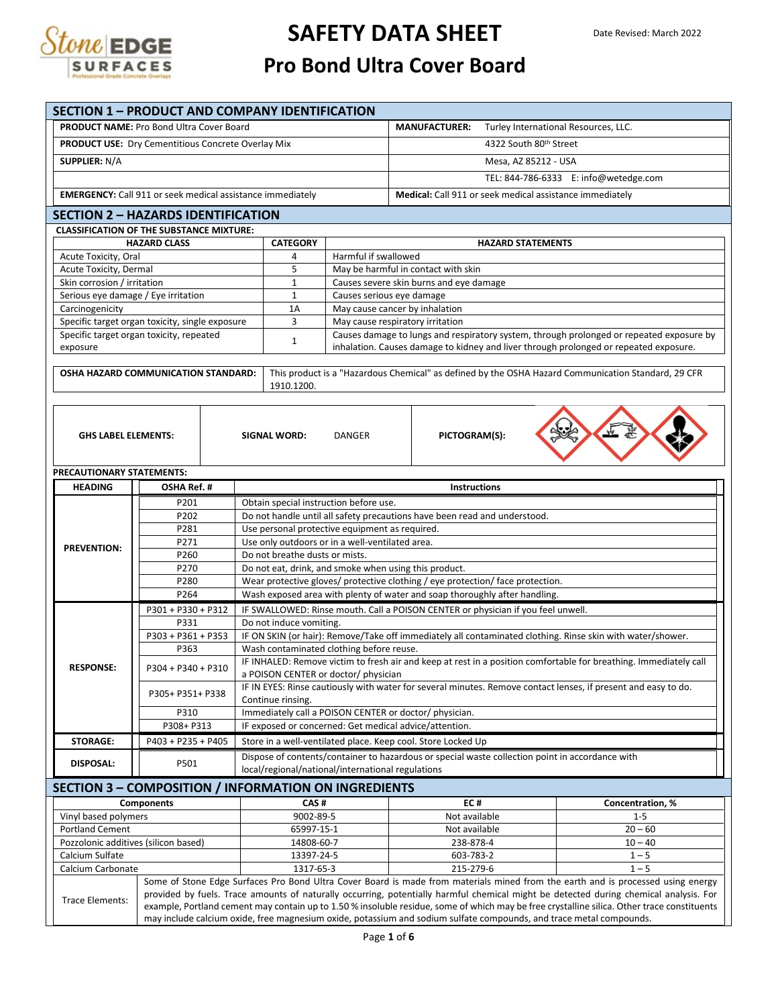

# **SAFETY DATA SHEET**

### **Pro Bond Ultra Cover Board**

|                                                       | <b>SECTION 1 - PRODUCT AND COMPANY IDENTIFICATION</b>             |                                                                                                                                                           |                                                                                                                                                                                                                                                                                                                                                                                                                                                                                                                                                |  |  |  |  |  |
|-------------------------------------------------------|-------------------------------------------------------------------|-----------------------------------------------------------------------------------------------------------------------------------------------------------|------------------------------------------------------------------------------------------------------------------------------------------------------------------------------------------------------------------------------------------------------------------------------------------------------------------------------------------------------------------------------------------------------------------------------------------------------------------------------------------------------------------------------------------------|--|--|--|--|--|
|                                                       | <b>PRODUCT NAME: Pro Bond Ultra Cover Board</b>                   |                                                                                                                                                           | <b>MANUFACTURER:</b><br>Turley International Resources, LLC.                                                                                                                                                                                                                                                                                                                                                                                                                                                                                   |  |  |  |  |  |
|                                                       | <b>PRODUCT USE:</b> Dry Cementitious Concrete Overlay Mix         |                                                                                                                                                           | 4322 South 80th Street                                                                                                                                                                                                                                                                                                                                                                                                                                                                                                                         |  |  |  |  |  |
| <b>SUPPLIER: N/A</b>                                  |                                                                   |                                                                                                                                                           | Mesa, AZ 85212 - USA                                                                                                                                                                                                                                                                                                                                                                                                                                                                                                                           |  |  |  |  |  |
|                                                       |                                                                   |                                                                                                                                                           | TEL: 844-786-6333 E: info@wetedge.com                                                                                                                                                                                                                                                                                                                                                                                                                                                                                                          |  |  |  |  |  |
|                                                       |                                                                   |                                                                                                                                                           |                                                                                                                                                                                                                                                                                                                                                                                                                                                                                                                                                |  |  |  |  |  |
|                                                       | <b>EMERGENCY:</b> Call 911 or seek medical assistance immediately |                                                                                                                                                           | Medical: Call 911 or seek medical assistance immediately                                                                                                                                                                                                                                                                                                                                                                                                                                                                                       |  |  |  |  |  |
|                                                       | <b>SECTION 2 - HAZARDS IDENTIFICATION</b>                         |                                                                                                                                                           |                                                                                                                                                                                                                                                                                                                                                                                                                                                                                                                                                |  |  |  |  |  |
|                                                       | <b>CLASSIFICATION OF THE SUBSTANCE MIXTURE:</b>                   |                                                                                                                                                           |                                                                                                                                                                                                                                                                                                                                                                                                                                                                                                                                                |  |  |  |  |  |
|                                                       | <b>HAZARD CLASS</b>                                               | <b>CATEGORY</b>                                                                                                                                           | <b>HAZARD STATEMENTS</b>                                                                                                                                                                                                                                                                                                                                                                                                                                                                                                                       |  |  |  |  |  |
| Acute Toxicity, Oral                                  |                                                                   | 4                                                                                                                                                         | Harmful if swallowed                                                                                                                                                                                                                                                                                                                                                                                                                                                                                                                           |  |  |  |  |  |
| Acute Toxicity, Dermal<br>Skin corrosion / irritation |                                                                   | 5<br>$\mathbf{1}$                                                                                                                                         | May be harmful in contact with skin<br>Causes severe skin burns and eye damage                                                                                                                                                                                                                                                                                                                                                                                                                                                                 |  |  |  |  |  |
| Serious eye damage / Eye irritation                   |                                                                   | $\mathbf{1}$                                                                                                                                              | Causes serious eye damage                                                                                                                                                                                                                                                                                                                                                                                                                                                                                                                      |  |  |  |  |  |
| Carcinogenicity                                       |                                                                   | 1A                                                                                                                                                        | May cause cancer by inhalation                                                                                                                                                                                                                                                                                                                                                                                                                                                                                                                 |  |  |  |  |  |
|                                                       | Specific target organ toxicity, single exposure                   | 3                                                                                                                                                         | May cause respiratory irritation                                                                                                                                                                                                                                                                                                                                                                                                                                                                                                               |  |  |  |  |  |
| exposure                                              | Specific target organ toxicity, repeated                          | $\mathbf{1}$                                                                                                                                              | Causes damage to lungs and respiratory system, through prolonged or repeated exposure by<br>inhalation. Causes damage to kidney and liver through prolonged or repeated exposure.                                                                                                                                                                                                                                                                                                                                                              |  |  |  |  |  |
|                                                       |                                                                   |                                                                                                                                                           |                                                                                                                                                                                                                                                                                                                                                                                                                                                                                                                                                |  |  |  |  |  |
|                                                       | OSHA HAZARD COMMUNICATION STANDARD:                               |                                                                                                                                                           | This product is a "Hazardous Chemical" as defined by the OSHA Hazard Communication Standard, 29 CFR                                                                                                                                                                                                                                                                                                                                                                                                                                            |  |  |  |  |  |
|                                                       |                                                                   | 1910.1200.                                                                                                                                                |                                                                                                                                                                                                                                                                                                                                                                                                                                                                                                                                                |  |  |  |  |  |
| <b>GHS LABEL ELEMENTS:</b>                            |                                                                   | <b>SIGNAL WORD:</b>                                                                                                                                       | PICTOGRAM(S):<br>DANGER                                                                                                                                                                                                                                                                                                                                                                                                                                                                                                                        |  |  |  |  |  |
| PRECAUTIONARY STATEMENTS:                             |                                                                   |                                                                                                                                                           |                                                                                                                                                                                                                                                                                                                                                                                                                                                                                                                                                |  |  |  |  |  |
| <b>HEADING</b>                                        | OSHA Ref. #                                                       |                                                                                                                                                           | <b>Instructions</b>                                                                                                                                                                                                                                                                                                                                                                                                                                                                                                                            |  |  |  |  |  |
|                                                       | P201                                                              | Obtain special instruction before use.                                                                                                                    |                                                                                                                                                                                                                                                                                                                                                                                                                                                                                                                                                |  |  |  |  |  |
|                                                       | P202                                                              | Do not handle until all safety precautions have been read and understood.                                                                                 |                                                                                                                                                                                                                                                                                                                                                                                                                                                                                                                                                |  |  |  |  |  |
|                                                       | P281                                                              | Use personal protective equipment as required.                                                                                                            |                                                                                                                                                                                                                                                                                                                                                                                                                                                                                                                                                |  |  |  |  |  |
| <b>PREVENTION:</b>                                    | P271<br>P260                                                      | Do not breathe dusts or mists.                                                                                                                            | Use only outdoors or in a well-ventilated area.                                                                                                                                                                                                                                                                                                                                                                                                                                                                                                |  |  |  |  |  |
|                                                       | P270                                                              |                                                                                                                                                           | Do not eat, drink, and smoke when using this product.                                                                                                                                                                                                                                                                                                                                                                                                                                                                                          |  |  |  |  |  |
|                                                       | P280                                                              |                                                                                                                                                           | Wear protective gloves/ protective clothing / eye protection/ face protection.                                                                                                                                                                                                                                                                                                                                                                                                                                                                 |  |  |  |  |  |
|                                                       | P264                                                              |                                                                                                                                                           | Wash exposed area with plenty of water and soap thoroughly after handling.                                                                                                                                                                                                                                                                                                                                                                                                                                                                     |  |  |  |  |  |
|                                                       | P301 + P330 + P312                                                |                                                                                                                                                           | IF SWALLOWED: Rinse mouth. Call a POISON CENTER or physician if you feel unwell.                                                                                                                                                                                                                                                                                                                                                                                                                                                               |  |  |  |  |  |
|                                                       | P331                                                              | Do not induce vomiting.                                                                                                                                   |                                                                                                                                                                                                                                                                                                                                                                                                                                                                                                                                                |  |  |  |  |  |
|                                                       | P303 + P361 + P353                                                |                                                                                                                                                           | IF ON SKIN (or hair): Remove/Take off immediately all contaminated clothing. Rinse skin with water/shower.                                                                                                                                                                                                                                                                                                                                                                                                                                     |  |  |  |  |  |
|                                                       | P363                                                              |                                                                                                                                                           | Wash contaminated clothing before reuse.                                                                                                                                                                                                                                                                                                                                                                                                                                                                                                       |  |  |  |  |  |
| <b>RESPONSE:</b>                                      | P304 + P340 + P310                                                | IF INHALED: Remove victim to fresh air and keep at rest in a position comfortable for breathing. Immediately call<br>a POISON CENTER or doctor/ physician |                                                                                                                                                                                                                                                                                                                                                                                                                                                                                                                                                |  |  |  |  |  |
|                                                       | P305+ P351+ P338                                                  |                                                                                                                                                           | IF IN EYES: Rinse cautiously with water for several minutes. Remove contact lenses, if present and easy to do.                                                                                                                                                                                                                                                                                                                                                                                                                                 |  |  |  |  |  |
|                                                       | P310                                                              | Continue rinsing.                                                                                                                                         | Immediately call a POISON CENTER or doctor/ physician.                                                                                                                                                                                                                                                                                                                                                                                                                                                                                         |  |  |  |  |  |
|                                                       | P308+ P313                                                        |                                                                                                                                                           | IF exposed or concerned: Get medical advice/attention.                                                                                                                                                                                                                                                                                                                                                                                                                                                                                         |  |  |  |  |  |
| <b>STORAGE:</b>                                       | P403 + P235 + P405                                                |                                                                                                                                                           | Store in a well-ventilated place. Keep cool. Store Locked Up                                                                                                                                                                                                                                                                                                                                                                                                                                                                                   |  |  |  |  |  |
|                                                       |                                                                   |                                                                                                                                                           | Dispose of contents/container to hazardous or special waste collection point in accordance with                                                                                                                                                                                                                                                                                                                                                                                                                                                |  |  |  |  |  |
| DISPOSAL:                                             | P501                                                              |                                                                                                                                                           | local/regional/national/international regulations                                                                                                                                                                                                                                                                                                                                                                                                                                                                                              |  |  |  |  |  |
|                                                       | SECTION 3 - COMPOSITION / INFORMATION ON INGREDIENTS              |                                                                                                                                                           |                                                                                                                                                                                                                                                                                                                                                                                                                                                                                                                                                |  |  |  |  |  |
|                                                       | <b>Components</b>                                                 | CAS#                                                                                                                                                      | EC#<br>Concentration, %                                                                                                                                                                                                                                                                                                                                                                                                                                                                                                                        |  |  |  |  |  |
| Vinyl based polymers                                  |                                                                   | 9002-89-5                                                                                                                                                 | Not available<br>$1 - 5$                                                                                                                                                                                                                                                                                                                                                                                                                                                                                                                       |  |  |  |  |  |
| <b>Portland Cement</b>                                |                                                                   | 65997-15-1                                                                                                                                                | Not available<br>$20 - 60$                                                                                                                                                                                                                                                                                                                                                                                                                                                                                                                     |  |  |  |  |  |
| Pozzolonic additives (silicon based)                  |                                                                   | 14808-60-7                                                                                                                                                | 238-878-4<br>$10 - 40$                                                                                                                                                                                                                                                                                                                                                                                                                                                                                                                         |  |  |  |  |  |
| Calcium Sulfate                                       |                                                                   | 13397-24-5                                                                                                                                                | 603-783-2<br>$1 - 5$                                                                                                                                                                                                                                                                                                                                                                                                                                                                                                                           |  |  |  |  |  |
| Calcium Carbonate                                     |                                                                   | 1317-65-3                                                                                                                                                 | 215-279-6<br>$1 - 5$                                                                                                                                                                                                                                                                                                                                                                                                                                                                                                                           |  |  |  |  |  |
| Trace Elements:                                       |                                                                   |                                                                                                                                                           | Some of Stone Edge Surfaces Pro Bond Ultra Cover Board is made from materials mined from the earth and is processed using energy<br>provided by fuels. Trace amounts of naturally occurring, potentially harmful chemical might be detected during chemical analysis. For<br>example, Portland cement may contain up to 1.50% insoluble residue, some of which may be free crystalline silica. Other trace constituents<br>may include calcium oxide, free magnesium oxide, potassium and sodium sulfate compounds, and trace metal compounds. |  |  |  |  |  |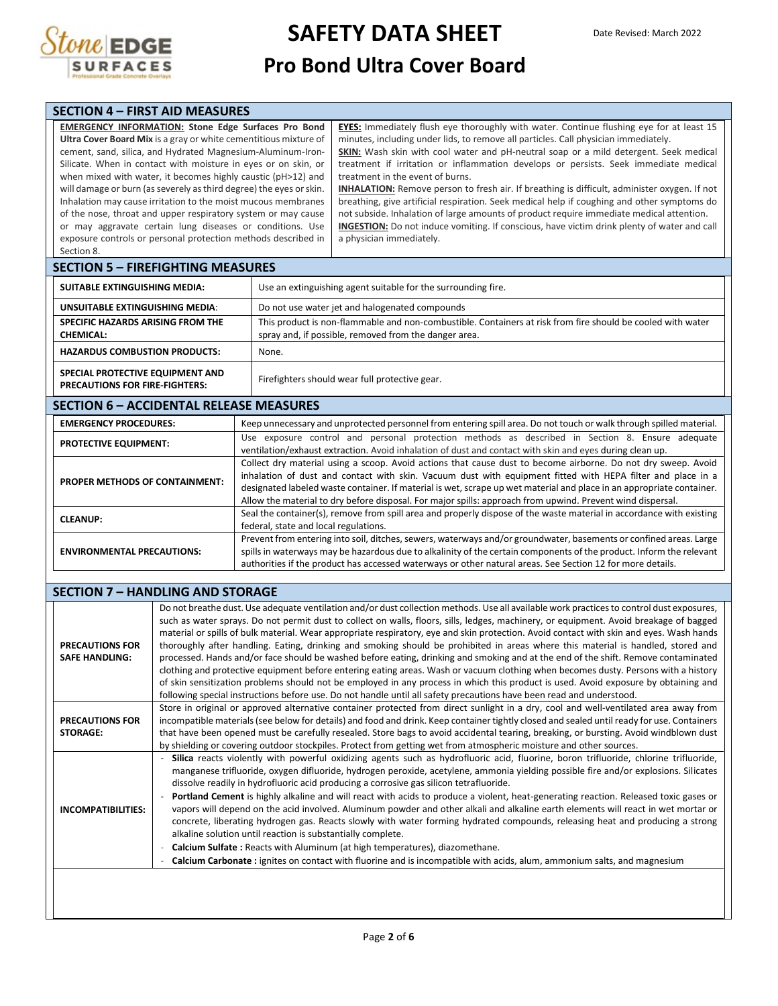

**SAFETY DATA SHEET**

### **Pro Bond Ultra Cover Board**

| <b>SECTION 4 - FIRST AID MEASURES</b>                               |                                                                                                     |  |
|---------------------------------------------------------------------|-----------------------------------------------------------------------------------------------------|--|
| <b>EMERGENCY INFORMATION: Stone Edge Surfaces Pro Bond</b>          | <b>EYES:</b> Immediately flush eye thoroughly with water. Continue flushing eye for at least 15     |  |
| Ultra Cover Board Mix is a gray or white cementitious mixture of    | minutes, including under lids, to remove all particles. Call physician immediately.                 |  |
| cement, sand, silica, and Hydrated Magnesium-Aluminum-Iron-         | SKIN: Wash skin with cool water and pH-neutral soap or a mild detergent. Seek medical               |  |
| Silicate. When in contact with moisture in eyes or on skin, or      | treatment if irritation or inflammation develops or persists. Seek immediate medical                |  |
| when mixed with water, it becomes highly caustic (pH>12) and        | treatment in the event of burns.                                                                    |  |
| will damage or burn (as severely as third degree) the eyes or skin. | <b>INHALATION:</b> Remove person to fresh air. If breathing is difficult, administer oxygen. If not |  |
| Inhalation may cause irritation to the moist mucous membranes       | breathing, give artificial respiration. Seek medical help if coughing and other symptoms do         |  |
| of the nose, throat and upper respiratory system or may cause       | not subside. Inhalation of large amounts of product require immediate medical attention.            |  |
| or may aggravate certain lung diseases or conditions. Use           | <b>INGESTION:</b> Do not induce vomiting. If conscious, have victim drink plenty of water and call  |  |
| exposure controls or personal protection methods described in       | a physician immediately.                                                                            |  |
| Section 8.                                                          |                                                                                                     |  |
| <b>SECTION 5 – FIREFIGHTING MEASURES</b>                            |                                                                                                     |  |

| SUITABLE EXTINGUISHING MEDIA:                                             | Use an extinguishing agent suitable for the surrounding fire.                                                                                                        |  |  |  |
|---------------------------------------------------------------------------|----------------------------------------------------------------------------------------------------------------------------------------------------------------------|--|--|--|
| UNSUITABLE EXTINGUISHING MEDIA:                                           | Do not use water jet and halogenated compounds                                                                                                                       |  |  |  |
| SPECIFIC HAZARDS ARISING FROM THE<br><b>CHEMICAL:</b>                     | This product is non-flammable and non-combustible. Containers at risk from fire should be cooled with water<br>spray and, if possible, removed from the danger area. |  |  |  |
| <b>HAZARDUS COMBUSTION PRODUCTS:</b>                                      | None.                                                                                                                                                                |  |  |  |
| SPECIAL PROTECTIVE EQUIPMENT AND<br><b>PRECAUTIONS FOR FIRE-FIGHTERS:</b> | Firefighters should wear full protective gear.                                                                                                                       |  |  |  |

### **SECTION 6 – ACCIDENTAL RELEASE MEASURES**

| <b>EMERGENCY PROCEDURES:</b>          | Keep unnecessary and unprotected personnel from entering spill area. Do not touch or walk through spilled material.                                                                                                                                                                                                                                                                                                                                                 |  |  |  |  |
|---------------------------------------|---------------------------------------------------------------------------------------------------------------------------------------------------------------------------------------------------------------------------------------------------------------------------------------------------------------------------------------------------------------------------------------------------------------------------------------------------------------------|--|--|--|--|
| <b>PROTECTIVE EQUIPMENT:</b>          | Use exposure control and personal protection methods as described in Section 8. Ensure adequate<br>ventilation/exhaust extraction. Avoid inhalation of dust and contact with skin and eyes during clean up.                                                                                                                                                                                                                                                         |  |  |  |  |
| <b>PROPER METHODS OF CONTAINMENT:</b> | Collect dry material using a scoop. Avoid actions that cause dust to become airborne. Do not dry sweep. Avoid<br>inhalation of dust and contact with skin. Vacuum dust with equipment fitted with HEPA filter and place in a<br>designated labeled waste container. If material is wet, scrape up wet material and place in an appropriate container.<br>Allow the material to dry before disposal. For major spills: approach from upwind. Prevent wind dispersal. |  |  |  |  |
| <b>CLEANUP:</b>                       | Seal the container(s), remove from spill area and properly dispose of the waste material in accordance with existing<br>federal, state and local regulations.                                                                                                                                                                                                                                                                                                       |  |  |  |  |
| <b>ENVIRONMENTAL PRECAUTIONS:</b>     | Prevent from entering into soil, ditches, sewers, waterways and/or groundwater, basements or confined areas. Large<br>spills in waterways may be hazardous due to alkalinity of the certain components of the product. Inform the relevant<br>authorities if the product has accessed waterways or other natural areas. See Section 12 for more details.                                                                                                            |  |  |  |  |

### **SECTION 7 – HANDLING AND STORAGE**

| <b>PRECAUTIONS FOR</b><br><b>SAFE HANDLING:</b> | Do not breathe dust. Use adequate ventilation and/or dust collection methods. Use all available work practices to control dust exposures,<br>such as water sprays. Do not permit dust to collect on walls, floors, sills, ledges, machinery, or equipment. Avoid breakage of bagged<br>material or spills of bulk material. Wear appropriate respiratory, eye and skin protection. Avoid contact with skin and eyes. Wash hands<br>thoroughly after handling. Eating, drinking and smoking should be prohibited in areas where this material is handled, stored and<br>processed. Hands and/or face should be washed before eating, drinking and smoking and at the end of the shift. Remove contaminated<br>clothing and protective equipment before entering eating areas. Wash or vacuum clothing when becomes dusty. Persons with a history<br>of skin sensitization problems should not be employed in any process in which this product is used. Avoid exposure by obtaining and<br>following special instructions before use. Do not handle until all safety precautions have been read and understood. |
|-------------------------------------------------|----------------------------------------------------------------------------------------------------------------------------------------------------------------------------------------------------------------------------------------------------------------------------------------------------------------------------------------------------------------------------------------------------------------------------------------------------------------------------------------------------------------------------------------------------------------------------------------------------------------------------------------------------------------------------------------------------------------------------------------------------------------------------------------------------------------------------------------------------------------------------------------------------------------------------------------------------------------------------------------------------------------------------------------------------------------------------------------------------------------|
| <b>PRECAUTIONS FOR</b><br><b>STORAGE:</b>       | Store in original or approved alternative container protected from direct sunlight in a dry, cool and well-ventilated area away from<br>incompatible materials (see below for details) and food and drink. Keep container tightly closed and sealed until ready for use. Containers<br>that have been opened must be carefully resealed. Store bags to avoid accidental tearing, breaking, or bursting. Avoid windblown dust<br>by shielding or covering outdoor stockpiles. Protect from getting wet from atmospheric moisture and other sources.                                                                                                                                                                                                                                                                                                                                                                                                                                                                                                                                                             |
| INCOMPATIBILITIES:                              | Silica reacts violently with powerful oxidizing agents such as hydrofluoric acid, fluorine, boron trifluoride, chlorine trifluoride,<br>manganese trifluoride, oxygen difluoride, hydrogen peroxide, acetylene, ammonia yielding possible fire and/or explosions. Silicates<br>dissolve readily in hydrofluoric acid producing a corrosive gas silicon tetrafluoride.<br>Portland Cement is highly alkaline and will react with acids to produce a violent, heat-generating reaction. Released toxic gases or<br>vapors will depend on the acid involved. Aluminum powder and other alkali and alkaline earth elements will react in wet mortar or<br>concrete, liberating hydrogen gas. Reacts slowly with water forming hydrated compounds, releasing heat and producing a strong<br>alkaline solution until reaction is substantially complete.<br>Calcium Sulfate: Reacts with Aluminum (at high temperatures), diazomethane.<br>Calcium Carbonate: ignites on contact with fluorine and is incompatible with acids, alum, ammonium salts, and magnesium                                                   |
|                                                 |                                                                                                                                                                                                                                                                                                                                                                                                                                                                                                                                                                                                                                                                                                                                                                                                                                                                                                                                                                                                                                                                                                                |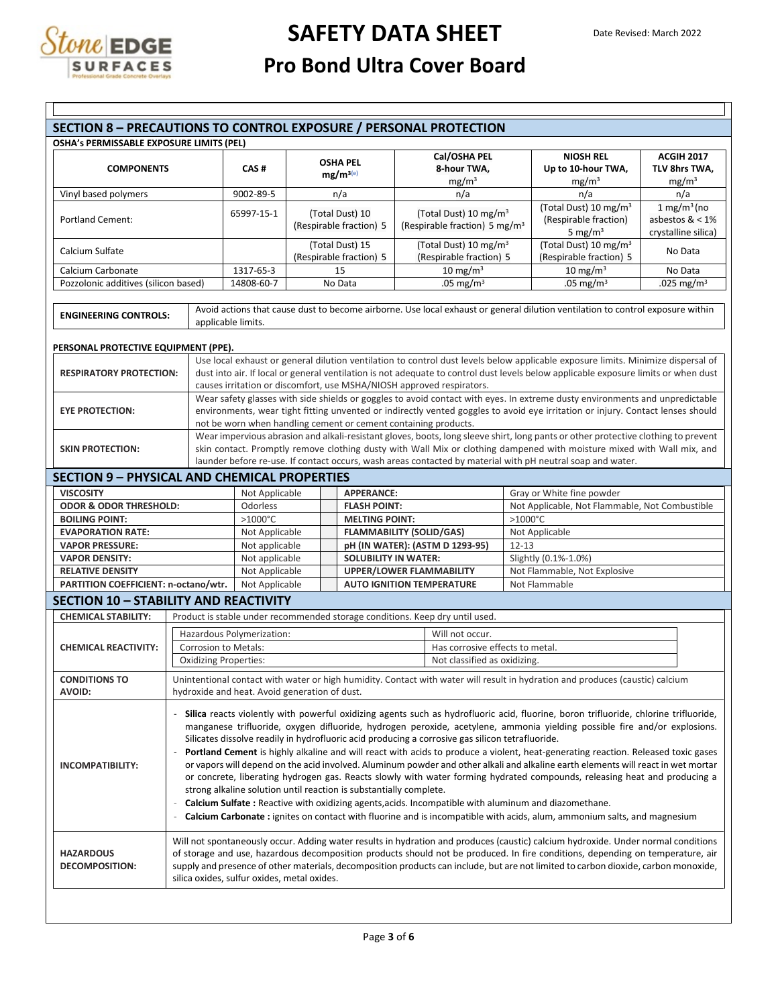

| OSHA's PERMISSABLE EXPOSURE LIMITS (PEL)            |                                                                                                                                                                                                                                                                                                                                                                                                                                                                                                                                                                                                                                                                                                                                                                                                                                                                                                                                                                                                                                                                                        |                                                                       |                                            |                         |                                 |                                   | Cal/OSHA PEL                                                                 |                                   | <b>NIOSH REL</b>                                                                                                                    |                     | <b>ACGIH 2017</b>         |
|-----------------------------------------------------|----------------------------------------------------------------------------------------------------------------------------------------------------------------------------------------------------------------------------------------------------------------------------------------------------------------------------------------------------------------------------------------------------------------------------------------------------------------------------------------------------------------------------------------------------------------------------------------------------------------------------------------------------------------------------------------------------------------------------------------------------------------------------------------------------------------------------------------------------------------------------------------------------------------------------------------------------------------------------------------------------------------------------------------------------------------------------------------|-----------------------------------------------------------------------|--------------------------------------------|-------------------------|---------------------------------|-----------------------------------|------------------------------------------------------------------------------|-----------------------------------|-------------------------------------------------------------------------------------------------------------------------------------|---------------------|---------------------------|
| <b>COMPONENTS</b>                                   |                                                                                                                                                                                                                                                                                                                                                                                                                                                                                                                                                                                                                                                                                                                                                                                                                                                                                                                                                                                                                                                                                        | CAS#                                                                  |                                            | <b>OSHA PEL</b>         |                                 | 8-hour TWA,                       |                                                                              |                                   | Up to 10-hour TWA,                                                                                                                  | TLV 8hrs TWA,       |                           |
|                                                     |                                                                                                                                                                                                                                                                                                                                                                                                                                                                                                                                                                                                                                                                                                                                                                                                                                                                                                                                                                                                                                                                                        |                                                                       |                                            | $mg/m^{3(e)}$           |                                 |                                   | mg/m <sup>3</sup>                                                            |                                   | mg/m <sup>3</sup>                                                                                                                   |                     | mg/m <sup>3</sup>         |
| Vinyl based polymers                                |                                                                                                                                                                                                                                                                                                                                                                                                                                                                                                                                                                                                                                                                                                                                                                                                                                                                                                                                                                                                                                                                                        |                                                                       | n/a                                        |                         |                                 | n/a                               |                                                                              |                                   | n/a                                                                                                                                 |                     | n/a                       |
|                                                     |                                                                                                                                                                                                                                                                                                                                                                                                                                                                                                                                                                                                                                                                                                                                                                                                                                                                                                                                                                                                                                                                                        | 9002-89-5                                                             |                                            |                         |                                 |                                   |                                                                              |                                   | (Total Dust) 10 mg/m <sup>3</sup>                                                                                                   |                     | $1$ mg/m <sup>3</sup> (no |
| <b>Portland Cement:</b>                             |                                                                                                                                                                                                                                                                                                                                                                                                                                                                                                                                                                                                                                                                                                                                                                                                                                                                                                                                                                                                                                                                                        | 65997-15-1                                                            | (Total Dust) 10                            |                         |                                 |                                   | (Total Dust) 10 mg/m <sup>3</sup>                                            |                                   | (Respirable fraction)                                                                                                               | asbestos $< 1\%$    |                           |
|                                                     |                                                                                                                                                                                                                                                                                                                                                                                                                                                                                                                                                                                                                                                                                                                                                                                                                                                                                                                                                                                                                                                                                        |                                                                       |                                            | (Respirable fraction) 5 |                                 |                                   | (Respirable fraction) 5 mg/m <sup>3</sup>                                    |                                   | 5 mg/m $3$                                                                                                                          | crystalline silica) |                           |
|                                                     |                                                                                                                                                                                                                                                                                                                                                                                                                                                                                                                                                                                                                                                                                                                                                                                                                                                                                                                                                                                                                                                                                        |                                                                       |                                            |                         |                                 | (Total Dust) 10 mg/m <sup>3</sup> |                                                                              | (Total Dust) 10 mg/m <sup>3</sup> |                                                                                                                                     |                     |                           |
| Calcium Sulfate                                     |                                                                                                                                                                                                                                                                                                                                                                                                                                                                                                                                                                                                                                                                                                                                                                                                                                                                                                                                                                                                                                                                                        |                                                                       | (Total Dust) 15<br>(Respirable fraction) 5 |                         |                                 |                                   | (Respirable fraction) 5                                                      |                                   | (Respirable fraction) 5                                                                                                             |                     | No Data                   |
| Calcium Carbonate                                   |                                                                                                                                                                                                                                                                                                                                                                                                                                                                                                                                                                                                                                                                                                                                                                                                                                                                                                                                                                                                                                                                                        | 1317-65-3                                                             |                                            | 15                      |                                 |                                   | 10 mg/m $3$                                                                  |                                   | 10 mg/m $3$                                                                                                                         |                     | No Data                   |
| Pozzolonic additives (silicon based)                |                                                                                                                                                                                                                                                                                                                                                                                                                                                                                                                                                                                                                                                                                                                                                                                                                                                                                                                                                                                                                                                                                        | 14808-60-7                                                            |                                            | No Data                 |                                 | .05 mg/m <sup>3</sup>             |                                                                              |                                   | .05 mg/m <sup>3</sup>                                                                                                               |                     | .025 mg/m <sup>3</sup>    |
|                                                     |                                                                                                                                                                                                                                                                                                                                                                                                                                                                                                                                                                                                                                                                                                                                                                                                                                                                                                                                                                                                                                                                                        |                                                                       |                                            |                         |                                 |                                   |                                                                              |                                   |                                                                                                                                     |                     |                           |
| <b>ENGINEERING CONTROLS:</b>                        |                                                                                                                                                                                                                                                                                                                                                                                                                                                                                                                                                                                                                                                                                                                                                                                                                                                                                                                                                                                                                                                                                        | applicable limits.                                                    |                                            |                         |                                 |                                   |                                                                              |                                   | Avoid actions that cause dust to become airborne. Use local exhaust or general dilution ventilation to control exposure within      |                     |                           |
| PERSONAL PROTECTIVE EQUIPMENT (PPE).                |                                                                                                                                                                                                                                                                                                                                                                                                                                                                                                                                                                                                                                                                                                                                                                                                                                                                                                                                                                                                                                                                                        |                                                                       |                                            |                         |                                 |                                   |                                                                              |                                   |                                                                                                                                     |                     |                           |
|                                                     |                                                                                                                                                                                                                                                                                                                                                                                                                                                                                                                                                                                                                                                                                                                                                                                                                                                                                                                                                                                                                                                                                        |                                                                       |                                            |                         |                                 |                                   |                                                                              |                                   | Use local exhaust or general dilution ventilation to control dust levels below applicable exposure limits. Minimize dispersal of    |                     |                           |
| <b>RESPIRATORY PROTECTION:</b>                      |                                                                                                                                                                                                                                                                                                                                                                                                                                                                                                                                                                                                                                                                                                                                                                                                                                                                                                                                                                                                                                                                                        |                                                                       |                                            |                         |                                 |                                   |                                                                              |                                   | dust into air. If local or general ventilation is not adequate to control dust levels below applicable exposure limits or when dust |                     |                           |
|                                                     |                                                                                                                                                                                                                                                                                                                                                                                                                                                                                                                                                                                                                                                                                                                                                                                                                                                                                                                                                                                                                                                                                        | causes irritation or discomfort, use MSHA/NIOSH approved respirators. |                                            |                         |                                 |                                   |                                                                              |                                   |                                                                                                                                     |                     |                           |
|                                                     |                                                                                                                                                                                                                                                                                                                                                                                                                                                                                                                                                                                                                                                                                                                                                                                                                                                                                                                                                                                                                                                                                        |                                                                       |                                            |                         |                                 |                                   |                                                                              |                                   | Wear safety glasses with side shields or goggles to avoid contact with eyes. In extreme dusty environments and unpredictable        |                     |                           |
| <b>EYE PROTECTION:</b>                              |                                                                                                                                                                                                                                                                                                                                                                                                                                                                                                                                                                                                                                                                                                                                                                                                                                                                                                                                                                                                                                                                                        |                                                                       |                                            |                         |                                 |                                   |                                                                              |                                   | environments, wear tight fitting unvented or indirectly vented goggles to avoid eye irritation or injury. Contact lenses should     |                     |                           |
|                                                     |                                                                                                                                                                                                                                                                                                                                                                                                                                                                                                                                                                                                                                                                                                                                                                                                                                                                                                                                                                                                                                                                                        | not be worn when handling cement or cement containing products.       |                                            |                         |                                 |                                   |                                                                              |                                   |                                                                                                                                     |                     |                           |
|                                                     |                                                                                                                                                                                                                                                                                                                                                                                                                                                                                                                                                                                                                                                                                                                                                                                                                                                                                                                                                                                                                                                                                        |                                                                       |                                            |                         |                                 |                                   |                                                                              |                                   | Wear impervious abrasion and alkali-resistant gloves, boots, long sleeve shirt, long pants or other protective clothing to prevent  |                     |                           |
| <b>SKIN PROTECTION:</b>                             |                                                                                                                                                                                                                                                                                                                                                                                                                                                                                                                                                                                                                                                                                                                                                                                                                                                                                                                                                                                                                                                                                        |                                                                       |                                            |                         |                                 |                                   |                                                                              |                                   | skin contact. Promptly remove clothing dusty with Wall Mix or clothing dampened with moisture mixed with Wall mix, and              |                     |                           |
|                                                     |                                                                                                                                                                                                                                                                                                                                                                                                                                                                                                                                                                                                                                                                                                                                                                                                                                                                                                                                                                                                                                                                                        |                                                                       |                                            |                         |                                 |                                   |                                                                              |                                   | launder before re-use. If contact occurs, wash areas contacted by material with pH neutral soap and water.                          |                     |                           |
| <b>SECTION 9 - PHYSICAL AND CHEMICAL PROPERTIES</b> |                                                                                                                                                                                                                                                                                                                                                                                                                                                                                                                                                                                                                                                                                                                                                                                                                                                                                                                                                                                                                                                                                        |                                                                       |                                            |                         |                                 |                                   |                                                                              |                                   |                                                                                                                                     |                     |                           |
| <b>VISCOSITY</b>                                    |                                                                                                                                                                                                                                                                                                                                                                                                                                                                                                                                                                                                                                                                                                                                                                                                                                                                                                                                                                                                                                                                                        |                                                                       | <b>APPERANCE:</b><br>Not Applicable        |                         |                                 |                                   |                                                                              | Gray or White fine powder         |                                                                                                                                     |                     |                           |
| <b>ODOR &amp; ODOR THRESHOLD:</b>                   |                                                                                                                                                                                                                                                                                                                                                                                                                                                                                                                                                                                                                                                                                                                                                                                                                                                                                                                                                                                                                                                                                        | Odorless                                                              |                                            |                         |                                 | <b>FLASH POINT:</b>               |                                                                              |                                   | Not Applicable, Not Flammable, Not Combustible                                                                                      |                     |                           |
| <b>BOILING POINT:</b>                               | $>1000^{\circ}$ C                                                                                                                                                                                                                                                                                                                                                                                                                                                                                                                                                                                                                                                                                                                                                                                                                                                                                                                                                                                                                                                                      | <b>MELTING POINT:</b>                                                 |                                            |                         |                                 |                                   | $>1000^{\circ}$ C                                                            |                                   |                                                                                                                                     |                     |                           |
| <b>EVAPORATION RATE:</b>                            | Not Applicable                                                                                                                                                                                                                                                                                                                                                                                                                                                                                                                                                                                                                                                                                                                                                                                                                                                                                                                                                                                                                                                                         |                                                                       |                                            |                         | <b>FLAMMABILITY (SOLID/GAS)</b> |                                   |                                                                              | Not Applicable                    |                                                                                                                                     |                     |                           |
| <b>VAPOR PRESSURE:</b>                              |                                                                                                                                                                                                                                                                                                                                                                                                                                                                                                                                                                                                                                                                                                                                                                                                                                                                                                                                                                                                                                                                                        | Not applicable                                                        |                                            |                         |                                 | pH (IN WATER): (ASTM D 1293-95)   |                                                                              | $12 - 13$                         |                                                                                                                                     |                     |                           |
| <b>VAPOR DENSITY:</b>                               | Not applicable                                                                                                                                                                                                                                                                                                                                                                                                                                                                                                                                                                                                                                                                                                                                                                                                                                                                                                                                                                                                                                                                         | <b>SOLUBILITY IN WATER:</b>                                           |                                            |                         |                                 |                                   |                                                                              | Slightly (0.1%-1.0%)              |                                                                                                                                     |                     |                           |
| <b>RELATIVE DENSITY</b>                             |                                                                                                                                                                                                                                                                                                                                                                                                                                                                                                                                                                                                                                                                                                                                                                                                                                                                                                                                                                                                                                                                                        | Not Applicable                                                        |                                            |                         |                                 | <b>UPPER/LOWER FLAMMABILITY</b>   |                                                                              |                                   | Not Flammable, Not Explosive                                                                                                        |                     |                           |
| PARTITION COEFFICIENT: n-octano/wtr.                |                                                                                                                                                                                                                                                                                                                                                                                                                                                                                                                                                                                                                                                                                                                                                                                                                                                                                                                                                                                                                                                                                        | Not Applicable                                                        |                                            |                         |                                 | <b>AUTO IGNITION TEMPERATURE</b>  |                                                                              |                                   | Not Flammable                                                                                                                       |                     |                           |
| <b>SECTION 10 - STABILITY AND REACTIVITY</b>        |                                                                                                                                                                                                                                                                                                                                                                                                                                                                                                                                                                                                                                                                                                                                                                                                                                                                                                                                                                                                                                                                                        |                                                                       |                                            |                         |                                 |                                   |                                                                              |                                   |                                                                                                                                     |                     |                           |
|                                                     |                                                                                                                                                                                                                                                                                                                                                                                                                                                                                                                                                                                                                                                                                                                                                                                                                                                                                                                                                                                                                                                                                        |                                                                       |                                            |                         |                                 |                                   |                                                                              |                                   |                                                                                                                                     |                     |                           |
| <b>CHEMICAL STABILITY:</b>                          |                                                                                                                                                                                                                                                                                                                                                                                                                                                                                                                                                                                                                                                                                                                                                                                                                                                                                                                                                                                                                                                                                        |                                                                       |                                            |                         |                                 |                                   | Product is stable under recommended storage conditions. Keep dry until used. |                                   |                                                                                                                                     |                     |                           |
|                                                     |                                                                                                                                                                                                                                                                                                                                                                                                                                                                                                                                                                                                                                                                                                                                                                                                                                                                                                                                                                                                                                                                                        | Hazardous Polymerization:                                             |                                            |                         |                                 |                                   | Will not occur.                                                              |                                   |                                                                                                                                     |                     |                           |
| <b>CHEMICAL REACTIVITY:</b>                         | Corrosion to Metals:                                                                                                                                                                                                                                                                                                                                                                                                                                                                                                                                                                                                                                                                                                                                                                                                                                                                                                                                                                                                                                                                   |                                                                       |                                            |                         |                                 | Has corrosive effects to metal.   |                                                                              |                                   |                                                                                                                                     |                     |                           |
|                                                     | <b>Oxidizing Properties:</b>                                                                                                                                                                                                                                                                                                                                                                                                                                                                                                                                                                                                                                                                                                                                                                                                                                                                                                                                                                                                                                                           |                                                                       |                                            |                         |                                 |                                   | Not classified as oxidizing.                                                 |                                   |                                                                                                                                     |                     |                           |
|                                                     |                                                                                                                                                                                                                                                                                                                                                                                                                                                                                                                                                                                                                                                                                                                                                                                                                                                                                                                                                                                                                                                                                        |                                                                       |                                            |                         |                                 |                                   |                                                                              |                                   |                                                                                                                                     |                     |                           |
| <b>CONDITIONS TO</b>                                |                                                                                                                                                                                                                                                                                                                                                                                                                                                                                                                                                                                                                                                                                                                                                                                                                                                                                                                                                                                                                                                                                        |                                                                       |                                            |                         |                                 |                                   |                                                                              |                                   | Unintentional contact with water or high humidity. Contact with water will result in hydration and produces (caustic) calcium       |                     |                           |
| <b>AVOID:</b>                                       |                                                                                                                                                                                                                                                                                                                                                                                                                                                                                                                                                                                                                                                                                                                                                                                                                                                                                                                                                                                                                                                                                        | hydroxide and heat. Avoid generation of dust.                         |                                            |                         |                                 |                                   |                                                                              |                                   |                                                                                                                                     |                     |                           |
| <b>INCOMPATIBILITY:</b>                             | Silica reacts violently with powerful oxidizing agents such as hydrofluoric acid, fluorine, boron trifluoride, chlorine trifluoride,<br>manganese trifluoride, oxygen difluoride, hydrogen peroxide, acetylene, ammonia yielding possible fire and/or explosions.<br>Silicates dissolve readily in hydrofluoric acid producing a corrosive gas silicon tetrafluoride.<br>Portland Cement is highly alkaline and will react with acids to produce a violent, heat-generating reaction. Released toxic gases<br>or vapors will depend on the acid involved. Aluminum powder and other alkali and alkaline earth elements will react in wet mortar<br>or concrete, liberating hydrogen gas. Reacts slowly with water forming hydrated compounds, releasing heat and producing a<br>strong alkaline solution until reaction is substantially complete.<br>Calcium Sulfate : Reactive with oxidizing agents, acids. Incompatible with aluminum and diazomethane.<br>Calcium Carbonate: ignites on contact with fluorine and is incompatible with acids, alum, ammonium salts, and magnesium |                                                                       |                                            |                         |                                 |                                   |                                                                              |                                   |                                                                                                                                     |                     |                           |
| <b>HAZARDOUS</b><br><b>DECOMPOSITION:</b>           | Will not spontaneously occur. Adding water results in hydration and produces (caustic) calcium hydroxide. Under normal conditions<br>of storage and use, hazardous decomposition products should not be produced. In fire conditions, depending on temperature, air<br>supply and presence of other materials, decomposition products can include, but are not limited to carbon dioxide, carbon monoxide,<br>silica oxides, sulfur oxides, metal oxides.                                                                                                                                                                                                                                                                                                                                                                                                                                                                                                                                                                                                                              |                                                                       |                                            |                         |                                 |                                   |                                                                              |                                   |                                                                                                                                     |                     |                           |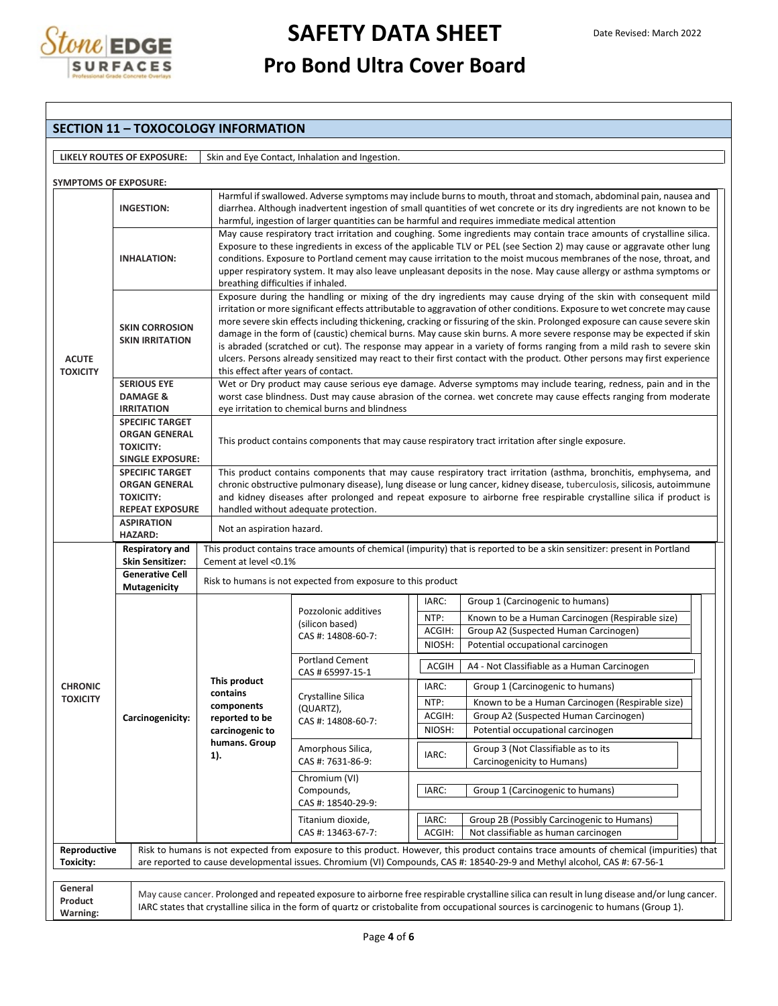

### **SECTION 11 – TOXOCOLOGY INFORMATION**

| <b>LIKELY ROUTES OF EXPOSURE:</b> | Skin and Eye Contact, Inhalation and Ingestion. |
|-----------------------------------|-------------------------------------------------|

|                                 | <b>SYMPTOMS OF EXPOSURE:</b>                    |                                                                                                                                                   |                                                                                                                                                                                                                                                                                                                                                                                                                                                                                                                                                                                                                                                                                                                                                                                               |              | Harmful if swallowed. Adverse symptoms may include burns to mouth, throat and stomach, abdominal pain, nausea and                                                                                                                                                                           |  |  |  |  |
|---------------------------------|-------------------------------------------------|---------------------------------------------------------------------------------------------------------------------------------------------------|-----------------------------------------------------------------------------------------------------------------------------------------------------------------------------------------------------------------------------------------------------------------------------------------------------------------------------------------------------------------------------------------------------------------------------------------------------------------------------------------------------------------------------------------------------------------------------------------------------------------------------------------------------------------------------------------------------------------------------------------------------------------------------------------------|--------------|---------------------------------------------------------------------------------------------------------------------------------------------------------------------------------------------------------------------------------------------------------------------------------------------|--|--|--|--|
|                                 | <b>INGESTION:</b>                               |                                                                                                                                                   | diarrhea. Although inadvertent ingestion of small quantities of wet concrete or its dry ingredients are not known to be                                                                                                                                                                                                                                                                                                                                                                                                                                                                                                                                                                                                                                                                       |              |                                                                                                                                                                                                                                                                                             |  |  |  |  |
|                                 |                                                 |                                                                                                                                                   |                                                                                                                                                                                                                                                                                                                                                                                                                                                                                                                                                                                                                                                                                                                                                                                               |              | harmful, ingestion of larger quantities can be harmful and requires immediate medical attention                                                                                                                                                                                             |  |  |  |  |
|                                 | <b>INHALATION:</b>                              |                                                                                                                                                   | May cause respiratory tract irritation and coughing. Some ingredients may contain trace amounts of crystalline silica.<br>Exposure to these ingredients in excess of the applicable TLV or PEL (see Section 2) may cause or aggravate other lung<br>conditions. Exposure to Portland cement may cause irritation to the moist mucous membranes of the nose, throat, and<br>upper respiratory system. It may also leave unpleasant deposits in the nose. May cause allergy or asthma symptoms or                                                                                                                                                                                                                                                                                               |              |                                                                                                                                                                                                                                                                                             |  |  |  |  |
| <b>ACUTE</b><br><b>TOXICITY</b> | <b>SKIN CORROSION</b><br><b>SKIN IRRITATION</b> | this effect after years of contact.                                                                                                               | breathing difficulties if inhaled.<br>Exposure during the handling or mixing of the dry ingredients may cause drying of the skin with consequent mild<br>irritation or more significant effects attributable to aggravation of other conditions. Exposure to wet concrete may cause<br>more severe skin effects including thickening, cracking or fissuring of the skin. Prolonged exposure can cause severe skin<br>damage in the form of (caustic) chemical burns. May cause skin burns. A more severe response may be expected if skin<br>is abraded (scratched or cut). The response may appear in a variety of forms ranging from a mild rash to severe skin<br>ulcers. Persons already sensitized may react to their first contact with the product. Other persons may first experience |              |                                                                                                                                                                                                                                                                                             |  |  |  |  |
|                                 | <b>SERIOUS EYE</b>                              |                                                                                                                                                   |                                                                                                                                                                                                                                                                                                                                                                                                                                                                                                                                                                                                                                                                                                                                                                                               |              | Wet or Dry product may cause serious eye damage. Adverse symptoms may include tearing, redness, pain and in the                                                                                                                                                                             |  |  |  |  |
|                                 | <b>DAMAGE &amp;</b>                             |                                                                                                                                                   |                                                                                                                                                                                                                                                                                                                                                                                                                                                                                                                                                                                                                                                                                                                                                                                               |              | worst case blindness. Dust may cause abrasion of the cornea. wet concrete may cause effects ranging from moderate                                                                                                                                                                           |  |  |  |  |
|                                 | <b>IRRITATION</b>                               |                                                                                                                                                   | eye irritation to chemical burns and blindness                                                                                                                                                                                                                                                                                                                                                                                                                                                                                                                                                                                                                                                                                                                                                |              |                                                                                                                                                                                                                                                                                             |  |  |  |  |
|                                 | <b>SPECIFIC TARGET</b>                          |                                                                                                                                                   |                                                                                                                                                                                                                                                                                                                                                                                                                                                                                                                                                                                                                                                                                                                                                                                               |              |                                                                                                                                                                                                                                                                                             |  |  |  |  |
|                                 | <b>ORGAN GENERAL</b>                            |                                                                                                                                                   |                                                                                                                                                                                                                                                                                                                                                                                                                                                                                                                                                                                                                                                                                                                                                                                               |              | This product contains components that may cause respiratory tract irritation after single exposure.                                                                                                                                                                                         |  |  |  |  |
|                                 | <b>TOXICITY:</b>                                |                                                                                                                                                   |                                                                                                                                                                                                                                                                                                                                                                                                                                                                                                                                                                                                                                                                                                                                                                                               |              |                                                                                                                                                                                                                                                                                             |  |  |  |  |
|                                 | <b>SINGLE EXPOSURE:</b>                         |                                                                                                                                                   |                                                                                                                                                                                                                                                                                                                                                                                                                                                                                                                                                                                                                                                                                                                                                                                               |              |                                                                                                                                                                                                                                                                                             |  |  |  |  |
|                                 | <b>SPECIFIC TARGET</b><br><b>ORGAN GENERAL</b>  |                                                                                                                                                   | This product contains components that may cause respiratory tract irritation (asthma, bronchitis, emphysema, and                                                                                                                                                                                                                                                                                                                                                                                                                                                                                                                                                                                                                                                                              |              |                                                                                                                                                                                                                                                                                             |  |  |  |  |
|                                 | <b>TOXICITY:</b>                                |                                                                                                                                                   | chronic obstructive pulmonary disease), lung disease or lung cancer, kidney disease, tuberculosis, silicosis, autoimmune<br>and kidney diseases after prolonged and repeat exposure to airborne free respirable crystalline silica if product is                                                                                                                                                                                                                                                                                                                                                                                                                                                                                                                                              |              |                                                                                                                                                                                                                                                                                             |  |  |  |  |
|                                 | <b>REPEAT EXPOSURE</b>                          |                                                                                                                                                   | handled without adequate protection.                                                                                                                                                                                                                                                                                                                                                                                                                                                                                                                                                                                                                                                                                                                                                          |              |                                                                                                                                                                                                                                                                                             |  |  |  |  |
|                                 | <b>ASPIRATION</b>                               |                                                                                                                                                   |                                                                                                                                                                                                                                                                                                                                                                                                                                                                                                                                                                                                                                                                                                                                                                                               |              |                                                                                                                                                                                                                                                                                             |  |  |  |  |
|                                 | Not an aspiration hazard.<br><b>HAZARD:</b>     |                                                                                                                                                   |                                                                                                                                                                                                                                                                                                                                                                                                                                                                                                                                                                                                                                                                                                                                                                                               |              |                                                                                                                                                                                                                                                                                             |  |  |  |  |
|                                 | Respiratory and<br><b>Skin Sensitizer:</b>      | This product contains trace amounts of chemical (impurity) that is reported to be a skin sensitizer: present in Portland<br>Cement at level <0.1% |                                                                                                                                                                                                                                                                                                                                                                                                                                                                                                                                                                                                                                                                                                                                                                                               |              |                                                                                                                                                                                                                                                                                             |  |  |  |  |
|                                 | <b>Generative Cell</b><br><b>Mutagenicity</b>   |                                                                                                                                                   | Risk to humans is not expected from exposure to this product                                                                                                                                                                                                                                                                                                                                                                                                                                                                                                                                                                                                                                                                                                                                  |              |                                                                                                                                                                                                                                                                                             |  |  |  |  |
|                                 |                                                 |                                                                                                                                                   | Pozzolonic additives<br>(silicon based)<br>CAS #: 14808-60-7:                                                                                                                                                                                                                                                                                                                                                                                                                                                                                                                                                                                                                                                                                                                                 | IARC:        | Group 1 (Carcinogenic to humans)                                                                                                                                                                                                                                                            |  |  |  |  |
|                                 |                                                 |                                                                                                                                                   |                                                                                                                                                                                                                                                                                                                                                                                                                                                                                                                                                                                                                                                                                                                                                                                               | NTP:         | Known to be a Human Carcinogen (Respirable size)                                                                                                                                                                                                                                            |  |  |  |  |
|                                 |                                                 |                                                                                                                                                   |                                                                                                                                                                                                                                                                                                                                                                                                                                                                                                                                                                                                                                                                                                                                                                                               | ACGIH:       | Group A2 (Suspected Human Carcinogen)                                                                                                                                                                                                                                                       |  |  |  |  |
|                                 |                                                 |                                                                                                                                                   |                                                                                                                                                                                                                                                                                                                                                                                                                                                                                                                                                                                                                                                                                                                                                                                               | NIOSH:       | Potential occupational carcinogen                                                                                                                                                                                                                                                           |  |  |  |  |
|                                 |                                                 |                                                                                                                                                   | <b>Portland Cement</b><br>CAS # 65997-15-1                                                                                                                                                                                                                                                                                                                                                                                                                                                                                                                                                                                                                                                                                                                                                    | <b>ACGIH</b> | A4 - Not Classifiable as a Human Carcinogen                                                                                                                                                                                                                                                 |  |  |  |  |
| <b>CHRONIC</b>                  |                                                 | This product                                                                                                                                      |                                                                                                                                                                                                                                                                                                                                                                                                                                                                                                                                                                                                                                                                                                                                                                                               | IARC:        | Group 1 (Carcinogenic to humans)                                                                                                                                                                                                                                                            |  |  |  |  |
| <b>TOXICITY</b>                 |                                                 | contains<br>components<br>reported to be<br>carcinogenic to                                                                                       | Crystalline Silica                                                                                                                                                                                                                                                                                                                                                                                                                                                                                                                                                                                                                                                                                                                                                                            | NTP:         | Known to be a Human Carcinogen (Respirable size)                                                                                                                                                                                                                                            |  |  |  |  |
|                                 |                                                 |                                                                                                                                                   | (QUARTZ),                                                                                                                                                                                                                                                                                                                                                                                                                                                                                                                                                                                                                                                                                                                                                                                     | ACGIH:       | Group A2 (Suspected Human Carcinogen)                                                                                                                                                                                                                                                       |  |  |  |  |
|                                 | Carcinogenicity:                                |                                                                                                                                                   | CAS #: 14808-60-7:                                                                                                                                                                                                                                                                                                                                                                                                                                                                                                                                                                                                                                                                                                                                                                            | NIOSH:       | Potential occupational carcinogen                                                                                                                                                                                                                                                           |  |  |  |  |
|                                 |                                                 | humans. Group                                                                                                                                     |                                                                                                                                                                                                                                                                                                                                                                                                                                                                                                                                                                                                                                                                                                                                                                                               |              |                                                                                                                                                                                                                                                                                             |  |  |  |  |
|                                 |                                                 | 1).                                                                                                                                               | Amorphous Silica,                                                                                                                                                                                                                                                                                                                                                                                                                                                                                                                                                                                                                                                                                                                                                                             | IARC:        | Group 3 (Not Classifiable as to its                                                                                                                                                                                                                                                         |  |  |  |  |
|                                 |                                                 |                                                                                                                                                   | CAS #: 7631-86-9:                                                                                                                                                                                                                                                                                                                                                                                                                                                                                                                                                                                                                                                                                                                                                                             |              | Carcinogenicity to Humans)                                                                                                                                                                                                                                                                  |  |  |  |  |
|                                 |                                                 |                                                                                                                                                   | Chromium (VI)                                                                                                                                                                                                                                                                                                                                                                                                                                                                                                                                                                                                                                                                                                                                                                                 |              |                                                                                                                                                                                                                                                                                             |  |  |  |  |
|                                 |                                                 |                                                                                                                                                   | Compounds,                                                                                                                                                                                                                                                                                                                                                                                                                                                                                                                                                                                                                                                                                                                                                                                    | IARC:        | Group 1 (Carcinogenic to humans)                                                                                                                                                                                                                                                            |  |  |  |  |
|                                 |                                                 |                                                                                                                                                   | CAS #: 18540-29-9:                                                                                                                                                                                                                                                                                                                                                                                                                                                                                                                                                                                                                                                                                                                                                                            |              |                                                                                                                                                                                                                                                                                             |  |  |  |  |
|                                 |                                                 |                                                                                                                                                   | Titanium dioxide,                                                                                                                                                                                                                                                                                                                                                                                                                                                                                                                                                                                                                                                                                                                                                                             | IARC:        | Group 2B (Possibly Carcinogenic to Humans)                                                                                                                                                                                                                                                  |  |  |  |  |
|                                 |                                                 |                                                                                                                                                   | CAS #: 13463-67-7:                                                                                                                                                                                                                                                                                                                                                                                                                                                                                                                                                                                                                                                                                                                                                                            | ACGIH:       | Not classifiable as human carcinogen                                                                                                                                                                                                                                                        |  |  |  |  |
| Reproductive                    |                                                 |                                                                                                                                                   |                                                                                                                                                                                                                                                                                                                                                                                                                                                                                                                                                                                                                                                                                                                                                                                               |              | Risk to humans is not expected from exposure to this product. However, this product contains trace amounts of chemical (impurities) that                                                                                                                                                    |  |  |  |  |
|                                 |                                                 |                                                                                                                                                   |                                                                                                                                                                                                                                                                                                                                                                                                                                                                                                                                                                                                                                                                                                                                                                                               |              | are reported to cause developmental issues. Chromium (VI) Compounds, CAS #: 18540-29-9 and Methyl alcohol, CAS #: 67-56-1                                                                                                                                                                   |  |  |  |  |
| Toxicity:                       |                                                 |                                                                                                                                                   |                                                                                                                                                                                                                                                                                                                                                                                                                                                                                                                                                                                                                                                                                                                                                                                               |              |                                                                                                                                                                                                                                                                                             |  |  |  |  |
|                                 |                                                 |                                                                                                                                                   |                                                                                                                                                                                                                                                                                                                                                                                                                                                                                                                                                                                                                                                                                                                                                                                               |              |                                                                                                                                                                                                                                                                                             |  |  |  |  |
| General<br>Product              |                                                 |                                                                                                                                                   |                                                                                                                                                                                                                                                                                                                                                                                                                                                                                                                                                                                                                                                                                                                                                                                               |              | May cause cancer. Prolonged and repeated exposure to airborne free respirable crystalline silica can result in lung disease and/or lung cancer.<br>IARC states that crystalline silica in the form of quartz or cristobalite from occupational sources is carcinogenic to humans (Group 1). |  |  |  |  |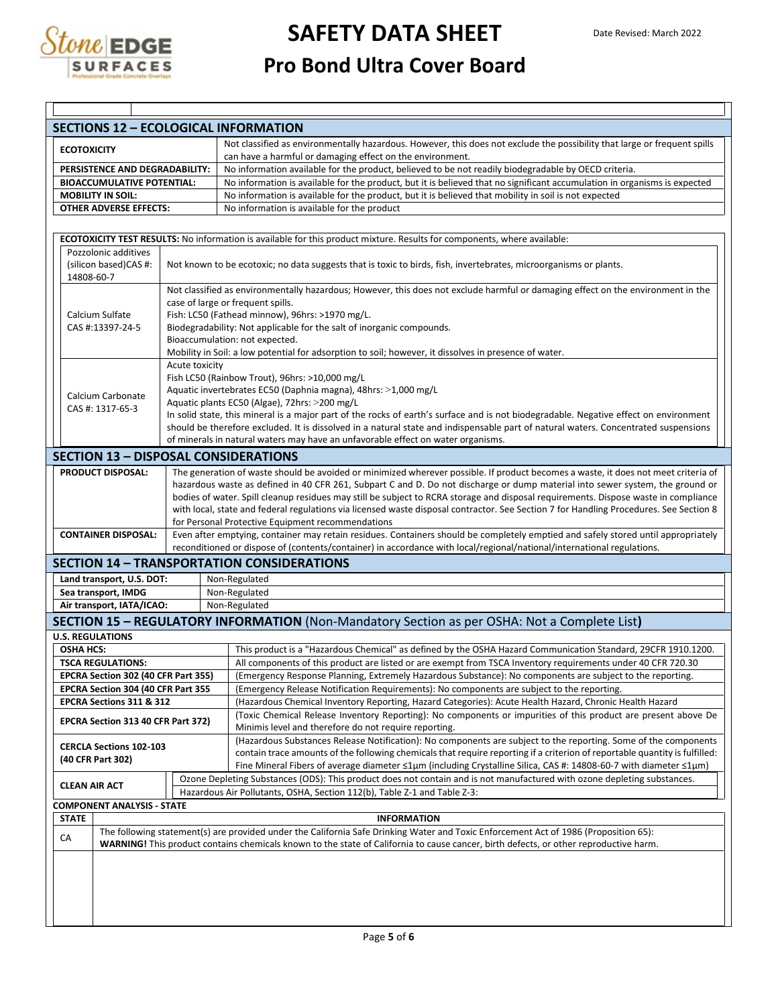

| <b>SECTIONS 12 - ECOLOGICAL INFORMATION</b>                                                                                                                                                                                                                                         |  |                |                                                                                                                                                                                                                                                             |  |  |  |  |  |
|-------------------------------------------------------------------------------------------------------------------------------------------------------------------------------------------------------------------------------------------------------------------------------------|--|----------------|-------------------------------------------------------------------------------------------------------------------------------------------------------------------------------------------------------------------------------------------------------------|--|--|--|--|--|
| <b>ECOTOXICITY</b>                                                                                                                                                                                                                                                                  |  |                | Not classified as environmentally hazardous. However, this does not exclude the possibility that large or frequent spills<br>can have a harmful or damaging effect on the environment.                                                                      |  |  |  |  |  |
| PERSISTENCE AND DEGRADABILITY:                                                                                                                                                                                                                                                      |  |                | No information available for the product, believed to be not readily biodegradable by OECD criteria.                                                                                                                                                        |  |  |  |  |  |
| No information is available for the product, but it is believed that no significant accumulation in organisms is expected<br><b>BIOACCUMULATIVE POTENTIAL:</b>                                                                                                                      |  |                |                                                                                                                                                                                                                                                             |  |  |  |  |  |
| <b>MOBILITY IN SOIL:</b>                                                                                                                                                                                                                                                            |  |                | No information is available for the product, but it is believed that mobility in soil is not expected                                                                                                                                                       |  |  |  |  |  |
| <b>OTHER ADVERSE EFFECTS:</b>                                                                                                                                                                                                                                                       |  |                | No information is available for the product                                                                                                                                                                                                                 |  |  |  |  |  |
|                                                                                                                                                                                                                                                                                     |  |                |                                                                                                                                                                                                                                                             |  |  |  |  |  |
| Pozzolonic additives                                                                                                                                                                                                                                                                |  |                | ECOTOXICITY TEST RESULTS: No information is available for this product mixture. Results for components, where available:                                                                                                                                    |  |  |  |  |  |
| (silicon based)CAS #:<br>14808-60-7                                                                                                                                                                                                                                                 |  |                | Not known to be ecotoxic; no data suggests that is toxic to birds, fish, invertebrates, microorganisms or plants.                                                                                                                                           |  |  |  |  |  |
|                                                                                                                                                                                                                                                                                     |  |                | Not classified as environmentally hazardous; However, this does not exclude harmful or damaging effect on the environment in the                                                                                                                            |  |  |  |  |  |
| Calcium Sulfate                                                                                                                                                                                                                                                                     |  |                | case of large or frequent spills.                                                                                                                                                                                                                           |  |  |  |  |  |
| CAS #:13397-24-5                                                                                                                                                                                                                                                                    |  |                | Fish: LC50 (Fathead minnow), 96hrs: >1970 mg/L.<br>Biodegradability: Not applicable for the salt of inorganic compounds.                                                                                                                                    |  |  |  |  |  |
|                                                                                                                                                                                                                                                                                     |  |                | Bioaccumulation: not expected.                                                                                                                                                                                                                              |  |  |  |  |  |
|                                                                                                                                                                                                                                                                                     |  |                | Mobility in Soil: a low potential for adsorption to soil; however, it dissolves in presence of water.                                                                                                                                                       |  |  |  |  |  |
|                                                                                                                                                                                                                                                                                     |  | Acute toxicity |                                                                                                                                                                                                                                                             |  |  |  |  |  |
|                                                                                                                                                                                                                                                                                     |  |                | Fish LC50 (Rainbow Trout), 96hrs: >10,000 mg/L                                                                                                                                                                                                              |  |  |  |  |  |
| Calcium Carbonate                                                                                                                                                                                                                                                                   |  |                | Aquatic invertebrates EC50 (Daphnia magna), 48hrs: >1,000 mg/L                                                                                                                                                                                              |  |  |  |  |  |
| CAS #: 1317-65-3                                                                                                                                                                                                                                                                    |  |                | Aquatic plants EC50 (Algae), 72hrs: >200 mg/L<br>In solid state, this mineral is a major part of the rocks of earth's surface and is not biodegradable. Negative effect on environment                                                                      |  |  |  |  |  |
|                                                                                                                                                                                                                                                                                     |  |                | should be therefore excluded. It is dissolved in a natural state and indispensable part of natural waters. Concentrated suspensions                                                                                                                         |  |  |  |  |  |
|                                                                                                                                                                                                                                                                                     |  |                | of minerals in natural waters may have an unfavorable effect on water organisms.                                                                                                                                                                            |  |  |  |  |  |
| <b>SECTION 13 - DISPOSAL CONSIDERATIONS</b>                                                                                                                                                                                                                                         |  |                |                                                                                                                                                                                                                                                             |  |  |  |  |  |
| <b>PRODUCT DISPOSAL:</b>                                                                                                                                                                                                                                                            |  |                | The generation of waste should be avoided or minimized wherever possible. If product becomes a waste, it does not meet criteria of                                                                                                                          |  |  |  |  |  |
|                                                                                                                                                                                                                                                                                     |  |                | hazardous waste as defined in 40 CFR 261, Subpart C and D. Do not discharge or dump material into sewer system, the ground or                                                                                                                               |  |  |  |  |  |
|                                                                                                                                                                                                                                                                                     |  |                | bodies of water. Spill cleanup residues may still be subject to RCRA storage and disposal requirements. Dispose waste in compliance                                                                                                                         |  |  |  |  |  |
|                                                                                                                                                                                                                                                                                     |  |                | with local, state and federal regulations via licensed waste disposal contractor. See Section 7 for Handling Procedures. See Section 8                                                                                                                      |  |  |  |  |  |
|                                                                                                                                                                                                                                                                                     |  |                | for Personal Protective Equipment recommendations                                                                                                                                                                                                           |  |  |  |  |  |
| <b>CONTAINER DISPOSAL:</b>                                                                                                                                                                                                                                                          |  |                | Even after emptying, container may retain residues. Containers should be completely emptied and safely stored until appropriately<br>reconditioned or dispose of (contents/container) in accordance with local/regional/national/international regulations. |  |  |  |  |  |
|                                                                                                                                                                                                                                                                                     |  |                |                                                                                                                                                                                                                                                             |  |  |  |  |  |
|                                                                                                                                                                                                                                                                                     |  |                | <b>SECTION 14 - TRANSPORTATION CONSIDERATIONS</b>                                                                                                                                                                                                           |  |  |  |  |  |
| Land transport, U.S. DOT:<br>Sea transport, IMDG                                                                                                                                                                                                                                    |  |                | Non-Regulated<br>Non-Regulated                                                                                                                                                                                                                              |  |  |  |  |  |
| Air transport, IATA/ICAO:                                                                                                                                                                                                                                                           |  |                | Non-Regulated                                                                                                                                                                                                                                               |  |  |  |  |  |
|                                                                                                                                                                                                                                                                                     |  |                | SECTION 15 - REGULATORY INFORMATION (Non-Mandatory Section as per OSHA: Not a Complete List)                                                                                                                                                                |  |  |  |  |  |
| <b>U.S. REGULATIONS</b>                                                                                                                                                                                                                                                             |  |                |                                                                                                                                                                                                                                                             |  |  |  |  |  |
| <b>OSHA HCS:</b>                                                                                                                                                                                                                                                                    |  |                | This product is a "Hazardous Chemical" as defined by the OSHA Hazard Communication Standard, 29CFR 1910.1200.                                                                                                                                               |  |  |  |  |  |
| <b>TSCA REGULATIONS:</b>                                                                                                                                                                                                                                                            |  |                | All components of this product are listed or are exempt from TSCA Inventory requirements under 40 CFR 720.30                                                                                                                                                |  |  |  |  |  |
| EPCRA Section 302 (40 CFR Part 355)                                                                                                                                                                                                                                                 |  |                | (Emergency Response Planning, Extremely Hazardous Substance): No components are subject to the reporting.                                                                                                                                                   |  |  |  |  |  |
| EPCRA Section 304 (40 CFR Part 355                                                                                                                                                                                                                                                  |  |                | (Emergency Release Notification Requirements): No components are subject to the reporting.                                                                                                                                                                  |  |  |  |  |  |
| EPCRA Sections 311 & 312                                                                                                                                                                                                                                                            |  |                | (Hazardous Chemical Inventory Reporting, Hazard Categories): Acute Health Hazard, Chronic Health Hazard                                                                                                                                                     |  |  |  |  |  |
| EPCRA Section 313 40 CFR Part 372)                                                                                                                                                                                                                                                  |  |                | (Toxic Chemical Release Inventory Reporting): No components or impurities of this product are present above De<br>Minimis level and therefore do not require reporting.                                                                                     |  |  |  |  |  |
|                                                                                                                                                                                                                                                                                     |  |                | (Hazardous Substances Release Notification): No components are subject to the reporting. Some of the components                                                                                                                                             |  |  |  |  |  |
| <b>CERCLA Sections 102-103</b>                                                                                                                                                                                                                                                      |  |                | contain trace amounts of the following chemicals that require reporting if a criterion of reportable quantity is fulfilled:                                                                                                                                 |  |  |  |  |  |
| (40 CFR Part 302)                                                                                                                                                                                                                                                                   |  |                | Fine Mineral Fibers of average diameter ≤1µm (including Crystalline Silica, CAS #: 14808-60-7 with diameter ≤1µm)                                                                                                                                           |  |  |  |  |  |
|                                                                                                                                                                                                                                                                                     |  |                | Ozone Depleting Substances (ODS): This product does not contain and is not manufactured with ozone depleting substances.                                                                                                                                    |  |  |  |  |  |
| <b>CLEAN AIR ACT</b>                                                                                                                                                                                                                                                                |  |                | Hazardous Air Pollutants, OSHA, Section 112(b), Table Z-1 and Table Z-3:                                                                                                                                                                                    |  |  |  |  |  |
| <b>COMPONENT ANALYSIS - STATE</b>                                                                                                                                                                                                                                                   |  |                |                                                                                                                                                                                                                                                             |  |  |  |  |  |
| <b>STATE</b><br><b>INFORMATION</b>                                                                                                                                                                                                                                                  |  |                |                                                                                                                                                                                                                                                             |  |  |  |  |  |
| The following statement(s) are provided under the California Safe Drinking Water and Toxic Enforcement Act of 1986 (Proposition 65):<br>CA<br>WARNING! This product contains chemicals known to the state of California to cause cancer, birth defects, or other reproductive harm. |  |                |                                                                                                                                                                                                                                                             |  |  |  |  |  |
|                                                                                                                                                                                                                                                                                     |  |                |                                                                                                                                                                                                                                                             |  |  |  |  |  |
|                                                                                                                                                                                                                                                                                     |  |                |                                                                                                                                                                                                                                                             |  |  |  |  |  |
|                                                                                                                                                                                                                                                                                     |  |                |                                                                                                                                                                                                                                                             |  |  |  |  |  |
|                                                                                                                                                                                                                                                                                     |  |                |                                                                                                                                                                                                                                                             |  |  |  |  |  |
|                                                                                                                                                                                                                                                                                     |  |                |                                                                                                                                                                                                                                                             |  |  |  |  |  |
|                                                                                                                                                                                                                                                                                     |  |                |                                                                                                                                                                                                                                                             |  |  |  |  |  |
|                                                                                                                                                                                                                                                                                     |  |                | Page 5 of 6                                                                                                                                                                                                                                                 |  |  |  |  |  |